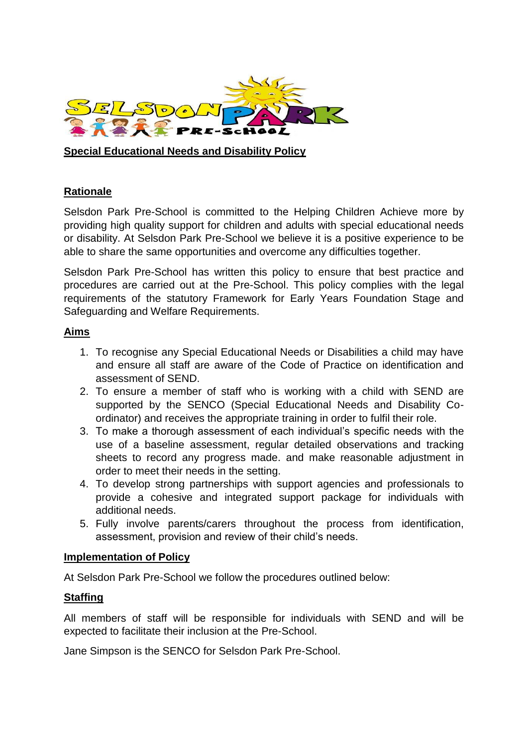

**Special Educational Needs and Disability Policy**

# **Rationale**

Selsdon Park Pre-School is committed to the Helping Children Achieve more by providing high quality support for children and adults with special educational needs or disability. At Selsdon Park Pre-School we believe it is a positive experience to be able to share the same opportunities and overcome any difficulties together.

Selsdon Park Pre-School has written this policy to ensure that best practice and procedures are carried out at the Pre-School. This policy complies with the legal requirements of the statutory Framework for Early Years Foundation Stage and Safeguarding and Welfare Requirements.

### **Aims**

- 1. To recognise any Special Educational Needs or Disabilities a child may have and ensure all staff are aware of the Code of Practice on identification and assessment of SEND.
- 2. To ensure a member of staff who is working with a child with SEND are supported by the SENCO (Special Educational Needs and Disability Coordinator) and receives the appropriate training in order to fulfil their role.
- 3. To make a thorough assessment of each individual's specific needs with the use of a baseline assessment, regular detailed observations and tracking sheets to record any progress made. and make reasonable adjustment in order to meet their needs in the setting.
- 4. To develop strong partnerships with support agencies and professionals to provide a cohesive and integrated support package for individuals with additional needs.
- 5. Fully involve parents/carers throughout the process from identification, assessment, provision and review of their child's needs.

### **Implementation of Policy**

At Selsdon Park Pre-School we follow the procedures outlined below:

### **Staffing**

All members of staff will be responsible for individuals with SEND and will be expected to facilitate their inclusion at the Pre-School.

Jane Simpson is the SENCO for Selsdon Park Pre-School.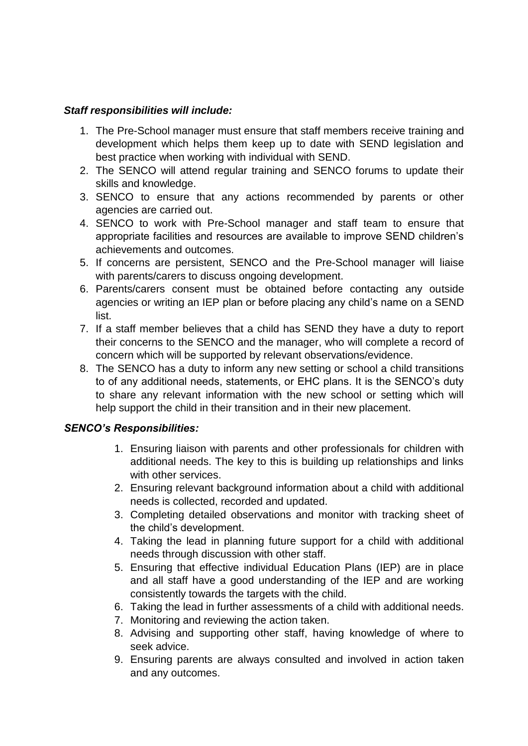# *Staff responsibilities will include:*

- 1. The Pre-School manager must ensure that staff members receive training and development which helps them keep up to date with SEND legislation and best practice when working with individual with SEND.
- 2. The SENCO will attend regular training and SENCO forums to update their skills and knowledge.
- 3. SENCO to ensure that any actions recommended by parents or other agencies are carried out.
- 4. SENCO to work with Pre-School manager and staff team to ensure that appropriate facilities and resources are available to improve SEND children's achievements and outcomes.
- 5. If concerns are persistent, SENCO and the Pre-School manager will liaise with parents/carers to discuss ongoing development.
- 6. Parents/carers consent must be obtained before contacting any outside agencies or writing an IEP plan or before placing any child's name on a SEND list.
- 7. If a staff member believes that a child has SEND they have a duty to report their concerns to the SENCO and the manager, who will complete a record of concern which will be supported by relevant observations/evidence.
- 8. The SENCO has a duty to inform any new setting or school a child transitions to of any additional needs, statements, or EHC plans. It is the SENCO's duty to share any relevant information with the new school or setting which will help support the child in their transition and in their new placement.

# *SENCO's Responsibilities:*

- 1. Ensuring liaison with parents and other professionals for children with additional needs. The key to this is building up relationships and links with other services.
- 2. Ensuring relevant background information about a child with additional needs is collected, recorded and updated.
- 3. Completing detailed observations and monitor with tracking sheet of the child's development.
- 4. Taking the lead in planning future support for a child with additional needs through discussion with other staff.
- 5. Ensuring that effective individual Education Plans (IEP) are in place and all staff have a good understanding of the IEP and are working consistently towards the targets with the child.
- 6. Taking the lead in further assessments of a child with additional needs.
- 7. Monitoring and reviewing the action taken.
- 8. Advising and supporting other staff, having knowledge of where to seek advice.
- 9. Ensuring parents are always consulted and involved in action taken and any outcomes.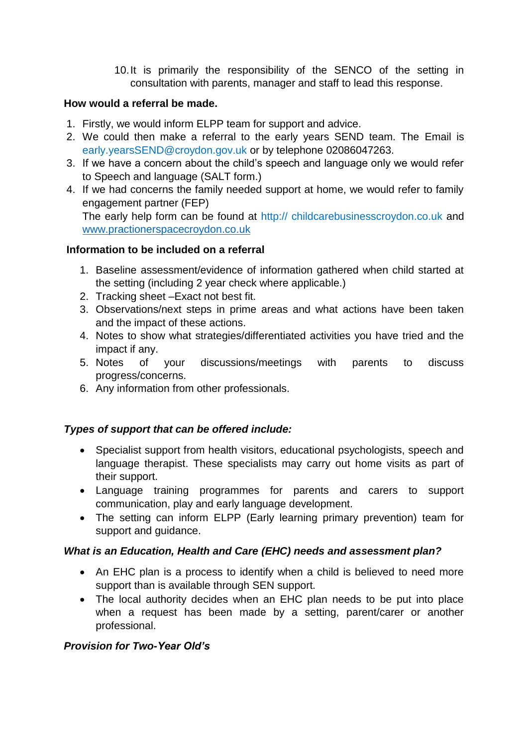10.It is primarily the responsibility of the SENCO of the setting in consultation with parents, manager and staff to lead this response.

## **How would a referral be made.**

- 1. Firstly, we would inform ELPP team for support and advice.
- 2. We could then make a referral to the early years SEND team. The Email is early.yearsSEND@croydon.gov.uk or by telephone 02086047263.
- 3. If we have a concern about the child's speech and language only we would refer to Speech and language (SALT form.)
- 4. If we had concerns the family needed support at home, we would refer to family engagement partner (FEP) The early help form can be found at http:// childcarebusinesscroydon.co.uk and [www.practionerspacecroydon.co.uk](http://www.practionerspacecroydon.co.uk/)

### **Information to be included on a referral**

- 1. Baseline assessment/evidence of information gathered when child started at the setting (including 2 year check where applicable.)
- 2. Tracking sheet –Exact not best fit.
- 3. Observations/next steps in prime areas and what actions have been taken and the impact of these actions.
- 4. Notes to show what strategies/differentiated activities you have tried and the impact if any.
- 5. Notes of your discussions/meetings with parents to discuss progress/concerns.
- 6. Any information from other professionals.

# *Types of support that can be offered include:*

- Specialist support from health visitors, educational psychologists, speech and language therapist. These specialists may carry out home visits as part of their support.
- Language training programmes for parents and carers to support communication, play and early language development.
- The setting can inform ELPP (Early learning primary prevention) team for support and guidance.

### *What is an Education, Health and Care (EHC) needs and assessment plan?*

- An EHC plan is a process to identify when a child is believed to need more support than is available through SEN support.
- The local authority decides when an EHC plan needs to be put into place when a request has been made by a setting, parent/carer or another professional.

# *Provision for Two-Year Old's*